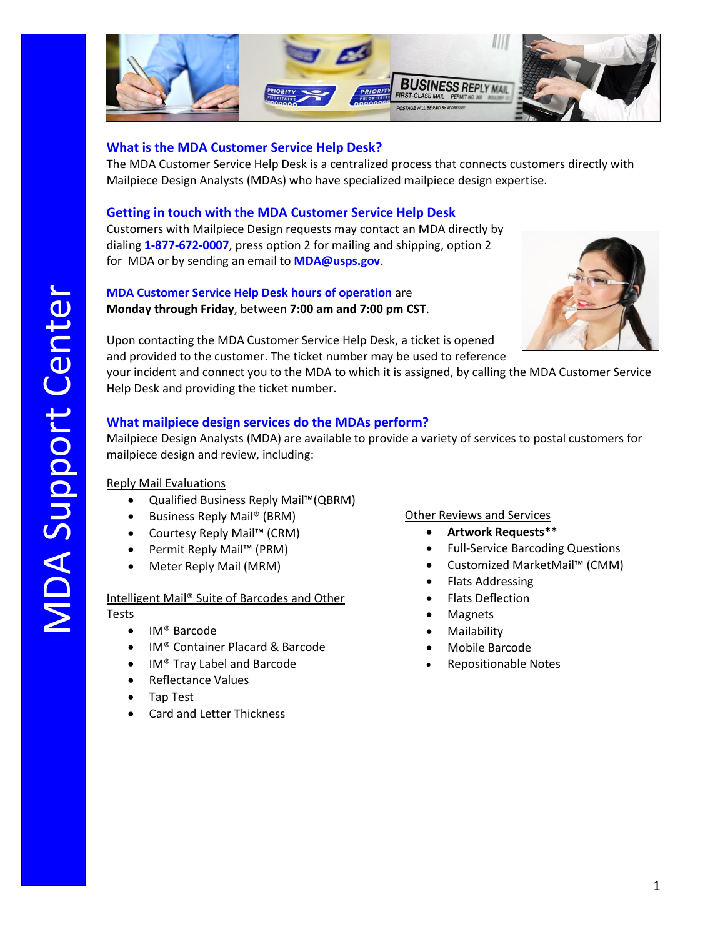

## **What is the MDA Customer Service Help Desk?**

The MDA Customer Service Help Desk is a centralized process that connects customers directly with Mailpiece Design Analysts (MDAs) who have specialized mailpiece design expertise.

## **Getting in touch with the MDA Customer Service Help Desk**

Customers with Mailpiece Design requests may contact an MDA directly by dialing **1-877-672-0007**, press option 2 for mailing and shipping, option 2 for MDA or by sending an email to **[MDA@usps.gov](mailto:MDA@usps.gov)**.

## **MDA Customer Service Help Desk hours of operation** are **Monday through Friday**, between **7:00 am and 7:00 pm CST**.



Upon contacting the MDA Customer Service Help Desk, a ticket is opened and provided to the customer. The ticket number may be used to reference

your incident and connect you to the MDA to which it is assigned, by calling the MDA Customer Service Help Desk and providing the ticket number.

## **What mailpiece design services do the MDAs perform?**

Mailpiece Design Analysts (MDA) are available to provide a variety of services to postal customers for mailpiece design and review, including: your<br>Help<br>**Wh**a<br>Mail<br>mail<br>Repl

## Reply Mail Evaluations

- Qualified Business Reply Mail™(QBRM)
- Business Reply Mail® (BRM)
- Courtesy Reply Mail™ (CRM)
- Permit Reply Mail™ (PRM)
- Meter Reply Mail (MRM)

### Intelligent Mail® Suite of Barcodes and Other Tests

- IM® Barcode
- IM® Container Placard & Barcode
- IM® Tray Label and Barcode
- Reflectance Values
- Tap Test
- Card and Letter Thickness

# Other Reviews and Services

- **Artwork Requests\*\***
- Full-Service Barcoding Questions
- Customized MarketMail™ (CMM)
- Flats Addressing
- Flats Deflection
- **Magnets**
- Mailability
- Mobile Barcode
- Repositionable Notes